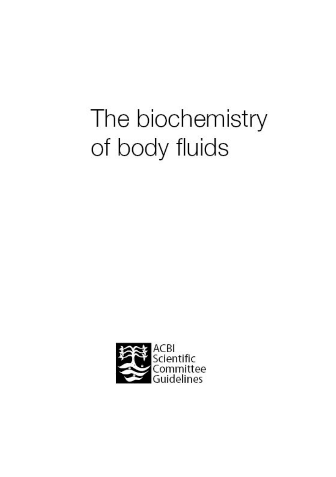# The biochemistry of body fluids

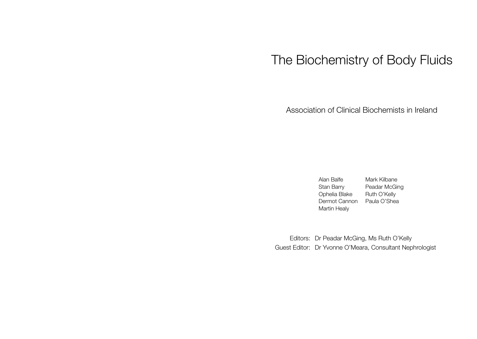# The Biochemistry of Body Fluids

Association of Clinical Biochemists in Ireland

Alan Balfe Mark Kilbane Stan Barry Peadar McGing Ophelia Blake Ruth O'Kelly Dermot Cannon Paula O'Shea Martin Healy

Editors: Dr Peadar McGing, Ms Ruth O'Kelly Guest Editor: Dr Yvonne O'Meara, Consultant Nephrologist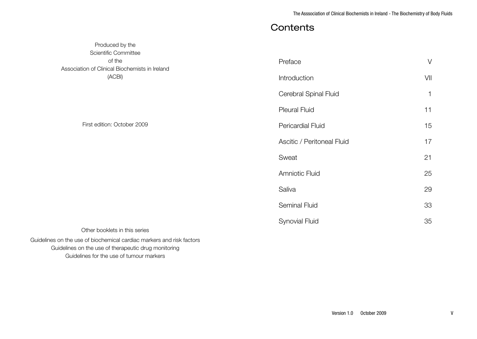# **Contents**

| Scientific Committee                                                  |                            |              |
|-----------------------------------------------------------------------|----------------------------|--------------|
| of the                                                                | Preface                    | $\vee$       |
| Association of Clinical Biochemists in Ireland<br>(ACBI)              | Introduction               | VII          |
|                                                                       |                            |              |
|                                                                       | Cerebral Spinal Fluid      | $\mathbf{1}$ |
|                                                                       | <b>Pleural Fluid</b>       | 11           |
| First edition: October 2009                                           | Pericardial Fluid          | 15           |
|                                                                       | Ascitic / Peritoneal Fluid | 17           |
|                                                                       | Sweat                      | 21           |
|                                                                       | <b>Amniotic Fluid</b>      | 25           |
|                                                                       | Saliva                     | 29           |
|                                                                       | Seminal Fluid              | 33           |
|                                                                       | <b>Synovial Fluid</b>      | 35           |
| Other booklets in this series                                         |                            |              |
| Guidelines on the use of biochemical cardiac markers and risk factors |                            |              |
| Guidelines on the use of therapeutic drug monitoring                  |                            |              |

Guidelines for the use of tumour markers

Produced by the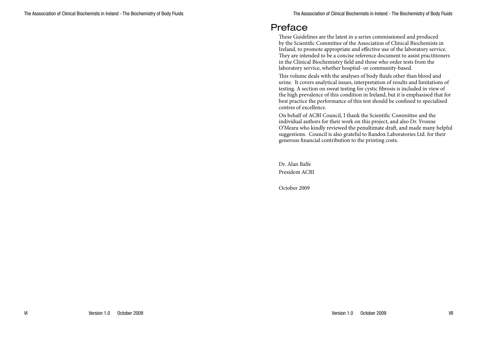# Preface

These Guidelines are the latest in a series commissioned and produced by the Scientific Committee of the Association of Clinical Biochemists in Ireland, to promote appropriate and effective use of the laboratory service. They are intended to be a concise reference document to assist practitioners in the Clinical Biochemistry field and those who order tests from the laboratory service, whether hospital- or community-based.

This volume deals with the analyses of body fluids other than blood and urine. It covers analytical issues, interpretation of results and limitations of testing. A section on sweat testing for cystic fibrosis is included in view of the high prevalence of this condition in Ireland, but it is emphasised that for best practice the performance of this test should be confined to specialised centres of excellence.

On behalf of ACBI Council, I thank the Scientific Committee and the individual authors for their work on this project, and also Dr. Yvonne O'Meara who kindly reviewed the penultimate draft, and made many helpful suggestions. Council is also grateful to Randox Laboratories Ltd. for their generous financial contribution to the printing costs.

Dr. Alan Balfe President ACBI

October 2009

VI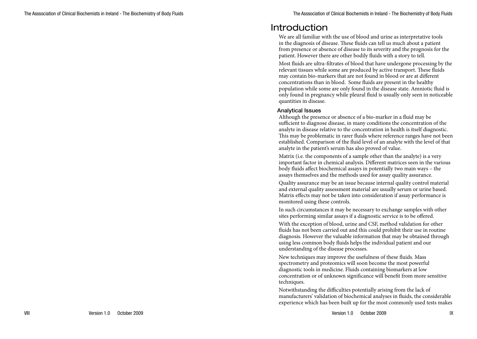# Introduction

We are all familiar with the use of blood and urine as interpretative tools in the diagnosis of disease. These fluids can tell us much about a patient from presence or absence of disease to its severity and the prognosis for the patient. However there are other bodily fluids with a story to tell.

Most fluids are ultra-filtrates of blood that have undergone processing by the relevant tissues while some are produced by active transport. These fluids may contain bio-markers that are not found in blood or are at different concentrations than in blood. Some fluids are present in the healthy population while some are only found in the disease state. Amniotic fluid is only found in pregnancy while pleural fluid is usually only seen in noticeable quantities in disease.

#### Analytical Issues

Although the presence or absence of a bio-marker in a fluid may be sufficient to diagnose disease, in many conditions the concentration of the analyte in disease relative to the concentration in health is itself diagnostic. This may be problematic in rarer fluids where reference ranges have not been established. Comparison of the fluid level of an analyte with the level of that analyte in the patient's serum has also proved of value.

Matrix (i.e. the components of a sample other than the analyte) is a very important factor in chemical analysis. Different matrices seen in the various body fluids affect biochemical assays in potentially two main ways – the assays themselves and the methods used for assay quality assurance.

Quality assurance may be an issue because internal quality control material and external quality assessment material are usually serum or urine based. Matrix effects may not be taken into consideration if assay performance is monitored using these controls.

In such circumstances it may be necessary to exchange samples with other sites performing similar assays if a diagnostic service is to be offered.

With the exception of blood, urine and CSF, method validation for other fluids has not been carried out and this could prohibit their use in routine diagnosis. However the valuable information that may be obtained through using less common body fluids helps the individual patient and our understanding of the disease processes.

New techniques may improve the usefulness of these fluids. Mass spectrometry and proteomics will soon become the most powerful diagnostic tools in medicine. Fluids containing biomarkers at low concentration or of unknown significance will benefit from more sensitive techniques.

Notwithstanding the difficulties potentially arising from the lack of manufacturers' validation of biochemical analyses in fluids, the considerable experience which has been built up for the most commonly used tests makes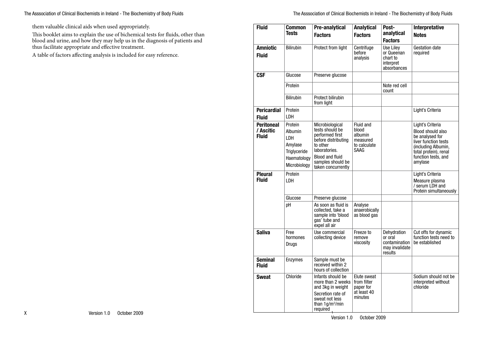them valuable clinical aids when used appropriately.

This booklet aims to explain the use of bichemical tests for fluids, other than blood and urine, and how they may help us in the diagnosis of patients and thus facilitate appropriate and effective treatment.

A table of factors affecting analysis is included for easy reference.

| <b>Fluid</b>                                   | Common<br>Tests                                                                             | Pre-analytical<br><b>Factors</b>                                                                                                                                               | <b>Analytical</b><br><b>Factors</b>                               | Post-<br>analytical<br><b>Factors</b>                                | Interpretative<br><b>Notes</b>                                                                                                                                     |
|------------------------------------------------|---------------------------------------------------------------------------------------------|--------------------------------------------------------------------------------------------------------------------------------------------------------------------------------|-------------------------------------------------------------------|----------------------------------------------------------------------|--------------------------------------------------------------------------------------------------------------------------------------------------------------------|
| <b>Amniotic</b><br><b>Fluid</b>                | <b>Bilirubin</b>                                                                            | Protect from light                                                                                                                                                             | Centrifuge<br>before<br>analysis                                  | Use Liley<br>or Queenan<br>chart to<br>interpret<br>absorbances      | <b>Gestation date</b><br>required                                                                                                                                  |
| <b>CSF</b>                                     | Glucose                                                                                     | Preserve glucose                                                                                                                                                               |                                                                   |                                                                      |                                                                                                                                                                    |
|                                                | Protein                                                                                     |                                                                                                                                                                                |                                                                   | Note red cell<br>count                                               |                                                                                                                                                                    |
|                                                | <b>Bilirubin</b>                                                                            | Protect bilirubin<br>from light                                                                                                                                                |                                                                   |                                                                      |                                                                                                                                                                    |
| <b>Pericardial</b><br><b>Fluid</b>             | Protein<br>LDH                                                                              |                                                                                                                                                                                |                                                                   |                                                                      | Light's Criteria                                                                                                                                                   |
| <b>Peritoneal</b><br>/ Ascitic<br><b>Fluid</b> | Protein<br>Albumin<br>I DH<br>Amylase<br><b>Triglyceride</b><br>Haematology<br>Microbiology | Microbiological<br>tests should be<br>performed first<br>before distributing<br>to other<br>laboratories.<br><b>Blood and fluid</b><br>samples should be<br>taken concurrently | Fluid and<br>blood<br>albumin<br>measured<br>to calculate<br>SAAG |                                                                      | Light's Criteria<br>Blood should also<br>be analysed for<br>liver function tests<br>(including Albumin,<br>total protein), renal<br>function tests, and<br>amylase |
| <b>Pleural</b><br><b>Fluid</b>                 | Protein<br>LDH                                                                              |                                                                                                                                                                                |                                                                   |                                                                      | Light's Criteria<br>Measure plasma<br>/ serum LDH and<br>Protein simultaneously                                                                                    |
|                                                | Glucose                                                                                     | Preserve glucose                                                                                                                                                               |                                                                   |                                                                      |                                                                                                                                                                    |
|                                                | рH                                                                                          | As soon as fluid is<br>collected, take a<br>sample into 'blood<br>qas' tube and<br>expel all air                                                                               | Analyse<br>anaerobically<br>as blood gas                          |                                                                      |                                                                                                                                                                    |
| <b>Saliva</b>                                  | Free<br>hormones<br>Drugs                                                                   | Use commercial<br>collecting device                                                                                                                                            | Freeze to<br>remove<br>viscosity                                  | Dehydration<br>or oral<br>contamination<br>may invalidate<br>results | Cut offs for dynamic<br>function tests need to<br>be established                                                                                                   |
| <b>Seminal</b><br><b>Fluid</b>                 | Enzymes                                                                                     | Sample must be<br>received within 2<br>hours of collection                                                                                                                     |                                                                   |                                                                      |                                                                                                                                                                    |
| <b>Sweat</b>                                   | Chloride                                                                                    | Infants should be<br>more than 2 weeks<br>and 3kg in weight<br>Secretion rate of<br>sweat not less<br>than 1q/m <sup>2</sup> /min<br>required                                  | Elute sweat<br>from filter<br>paper for<br>at least 40<br>minutes |                                                                      | Sodium should not be<br>interpreted without<br>chloride                                                                                                            |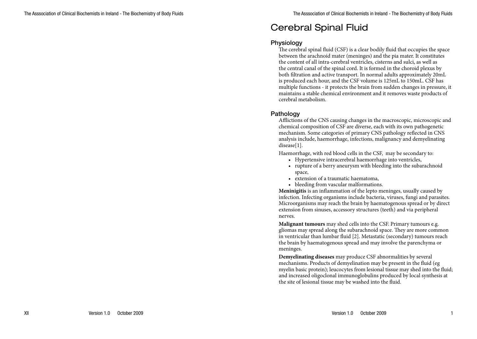# Cerebral Spinal Fluid

#### **Physiology**

The cerebral spinal fluid (CSF) is a clear bodily fluid that occupies the space between the arachnoid mater (meninges) and the pia mater. It constitutes the content of all intra-cerebral ventricles, cisterns and sulci, as well as the central canal of the spinal cord. It is formed in the choroid plexus by both filtration and active transport. In normal adults approximately 20mL is produced each hour, and the CSF volume is 125mL to 150mL. CSF has multiple functions - it protects the brain from sudden changes in pressure, it maintains a stable chemical environment and it removes waste products of cerebral metabolism.

#### Pathology

Afflictions of the CNS causing changes in the macroscopic, microscopic and chemical composition of CSF are diverse, each with its own pathogenetic mechanism. Some categories of primary CNS pathology reflected in CNS analysis include, haemorrhage, infections, malignancy and demyelinating disease[1].

Haemorrhage, with red blood cells in the CSF, may be secondary to:

- Hypertensive intracerebral haemorrhage into ventricles,
- rupture of a berry aneurysm with bleeding into the subarachnoid space,
- • extension of a traumatic haematoma,
- bleeding from vascular malformations.

**Meninigitis** is an inflammation of the lepto meninges, usually caused by infection. Infecting organisms include bacteria, viruses, fungi and parasites. Microorganisms may reach the brain by haematogenous spread or by direct extension from sinuses, accessory structures (teeth) and via peripheral nerves.

**Malignant tumours** may shed cells into the CSF. Primary tumours e.g. gliomas may spread along the subarachnoid space. They are more common in ventricular than lumbar fluid [2]. Metastatic (secondary) tumours reach the brain by haematogenous spread and may involve the parenchyma or meninges.

**Demyelinating diseases** may produce CSF abnormalities by several mechanisms. Products of demyelination may be present in the fluid (eg myelin basic protein); leucocytes from lesional tissue may shed into the fluid; and increased oligoclonal immunoglobulins produced by local synthesis at the site of lesional tissue may be washed into the fluid.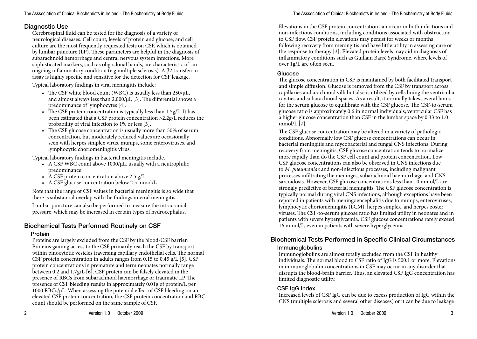# Diagnostic Use

Cerebrospinal fluid can be tested for the diagnosis of a variety of neurological diseases. Cell count, levels of protein and glucose, and cell culture are the most frequently requested tests on CSF, which is obtained by lumbar puncture (LP). These parameters are helpful in the diagnosis of subarachnoid hemorrhage and central nervous system infections. More sophisticated markers, such as oligoclonal bands, are characteristic of an ongoing inflammatory condition (e.g multiple sclerosis). A β2 transferrin assay is highly specific and sensitive for the detection for CSF leakage.

Typical laboratory findings in viral meningitis include:

- The CSF white blood count (WBC) is usually less than  $250/\mu L$ , and almost always less than 2,000/μL [3]. The differential shows a predominance of lymphocytes [4].
- The CSF protein concentration is typically less than  $1.5g/L$ . It has been estimated that a CSF protein concentration >2.2g/L reduces the probability of viral infection to 1% or less [3].
- The CSF glucose concentration is usually more than 50% of serum concentration, but moderately reduced values are occasionally seen with herpes simplex virus, mumps, some enteroviruses, and lymphocytic choriomeningitis virus.

Typical laboratory findings in bacterial meningitis include.

- A CSF WBC count above  $1000/\mu L$ , usually with a neutrophilic predominance
- A CSF protein concentration above  $2.5$  g/L
- • A CSF glucose concentration below 2.5 mmol/L

Note that the range of CSF values in bacterial meningitis is so wide that there is substantial overlap with the findings in viral meningitis.

Lumbar puncture can also be performed to measure the intracranial pressure, which may be increased in certain types of hydrocephalus.

# Biochemical Tests Performed Routinely on CSF

#### Protein

Proteins are largely excluded from the CSF by the blood-CSF barrier. Proteins gaining access to the CSF primarily reach the CSF by transport within pinocytotic vesicles traversing capillary endothelial cells. The normal CSF protein concentration in adults ranges from 0.15 to 0.45 g/L [5]. CSF protein concentrations in premature and term neonates normally range between 0.2 and 1.7g/L [6]. CSF protein can be falsely elevated in the presence of RBCs from subarachnoid haemorrhage or traumatic LP. The presence of CSF bleeding results in approximately 0.01g of protein/L per  $1000$  RBCs/ $\mu$ L. When assessing the potential effect of CSF bleeding on an elevated CSF protein concentration, the CSF protein concentration and RBC count should be performed on the same sample of CSF.

Elevations in the CSF protein concentration can occur in both infectious and non-infectious conditions, including conditions associated with obstruction to CSF flow. CSF protein elevations may persist for weeks or months following recovery from meningitis and have little utility in assessing cure or the response to therapy [3]. Elevated protein levels may aid in diagnosis of inflammatory conditions such as Guillain Barré Syndrome, where levels of over 1g/L are often seen.

#### Glucose

The glucose concentration in CSF is maintained by both facilitated transport and simple diffusion. Glucose is removed from the CSF by transport across capillaries and arachnoid villi but also is utilized by cells lining the ventricular cavities and subarachnoid spaces. As a result, it normally takes several hours for the serum glucose to equilibrate with the CSF glucose. The CSF-to-serum glucose ratio is approximately 0.6 in normal individuals; ventricular CSF has a higher glucose concentration than CSF in the lumbar space by 0.33 to 1.0 mmol/L [7].

The CSF glucose concentration may be altered in a variety of pathologic conditions. Abnormally low CSF glucose concentrations can occur in bacterial meningitis and mycobacterial and fungal CNS infections. During recovery from meningitis, CSF glucose concentration tends to normalize more rapidly than do the CSF cell count and protein concentration. Low CSF glucose concentrations can also be observed in CNS infections due to *M. pneumoniae* and non-infectious processes, including malignant processes infiltrating the meninges, subarachnoid haemorrhage, and CNS sarcoidosis. However, CSF glucose concentrations less than1.0 mmol/L are strongly predictive of bacterial meningitis. The CSF glucose concentration is typically normal during viral CNS infections, although exceptions have been reported in patients with meningoencephalitis due to mumps, enteroviruses, lymphocytic choriomeningitis (LCM), herpes simplex, and herpes zoster viruses. The CSF-to-serum glucose ratio has limited utility in neonates and in patients with severe hyperglycemia. CSF glucose concentrations rarely exceed 16 mmol/L, even in patients with severe hyperglycemia.

# Biochemical Tests Performed in Specific Clinical Circumstances Immunoglobulins

Immunoglobulins are almost totally excluded from the CSF in healthy individuals. The normal blood to CSF ratio of IgG is 500:1 or more. Elevations in immunoglobulin concentrations in CSF may occur in any disorder that disrupts the blood-brain barrier. Thus, an elevated CSF IgG concentration has limited diagnostic utility.

# CSF IgG Index

Increased levels of CSF IgG can be due to excess production of IgG within the CNS (multiple sclerosis and several other diseases) or it can be due to leakage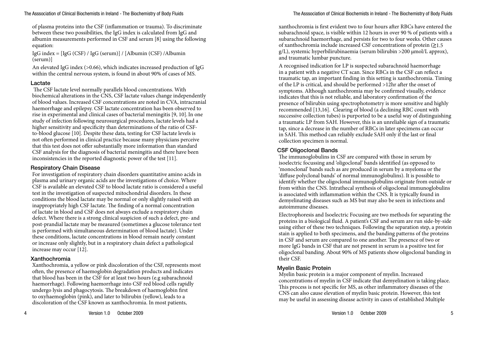of plasma proteins into the CSF (inflammation or trauma). To discriminate between these two possibilities, the IgG index is calculated from IgG and albumin measurements performed in CSF and serum [8] using the following equation:

IgG index = [IgG (CSF) / IgG (serum)] / [Albumin (CSF) /Albumin (serum)]

An elevated IgG index (>0.66), which indicates increased production of IgG within the central nervous system, is found in about 90% of cases of MS.

#### Lactate

 The CSF lactate level normally parallels blood concentrations. With biochemical alterations in the CNS, CSF lactate values change independently of blood values. Increased CSF concentrations are noted in CVA, intracranial haemorrhage and epilepsy. CSF lactate concentration has been observed to rise in experimental and clinical cases of bacterial meningitis [9, 10].In one study of infection following neurosurgical procedures, lactate levels had a higher sensitivity and specificity than determinations of the ratio of CSFto-blood glucose [10]. Despite these data, testing for CSF lactate levels is not often performed in clinical practice because many physicians perceive that this test does not offer substantially more information than standard CSF analysis for the diagnosis of bacterial meningitis and there have been inconsistencies in the reported diagnostic power of the test [11].

#### Respiratory Chain Disease

For investigation of respiratory chain disorders quantitative amino acids in plasma and urinary organic acids are the investigations of choice. Where CSF is available an elevated CSF to blood lactate ratio is considered a useful test in the investigation of suspected mitochondrial disorders. In these conditions the blood lactate may be normal or only slightly raised with an inappropriately high CSF lactate. The finding of a normal concentration of lactate in blood and CSF does not always exclude a respiratory chain defect. Where there is a strong clinical suspicion of such a defect, pre- and post-prandial lactate may be measured (sometimes a glucose tolerance test is performed with simultaneous determination of blood lactate). Under these conditions, lactate concentrations in blood remain nearly constant or increase only slightly, but in a respiratory chain defect a pathological increase may occur [12].

#### Xanthochromia

Xanthochromia, a yellow or pink discoloration of the CSF, represents most often, the presence of haemoglobin degradation products and indicates that blood has been in the CSF for at least two hours (e.g subarachnoid haemorrhage). Following haemorrhage into CSF red blood cells rapidly undergo lysis and phagocytosis. The breakdown of haemoglobin first to oxyhaemoglobin (pink), and later to bilirubin (yellow), leads to a discoloration of the CSF known as xanthochromia. In most patients,

xanthochromia is first evident two to four hours after RBCs have entered the subarachnoid space, is visible within 12 hours in over 90 % of patients with a subarachnoid haemorrhage, and persists for two to four weeks. Other causes of xanthochromia include increased CSF concentrations of protein  $(21.5$ g/L), systemic hyperbilirubinaemia (serum bilirubin >200 μmol/L approx), and traumatic lumbar puncture.

A recognised indication for LP is suspected subarachnoid haemorrhage in a patient with a negative CT scan. Since RBCs in the CSF can reflect a traumatic tap, an important finding in this setting is xanthochromia. Timing of the LP is critical, and should be performed >12hr after the onset of symptoms. Although xanthochromia may be confirmed visually, evidence indicates that this is not reliable, and laboratory confirmation of the presence of bilirubin using spectrophotometry is more sensitive and highly recommended [13,16]. Clearing of blood (a declining RBC count with successive collection tubes) is purported to be a useful way of distinguishing a traumatic LP from SAH. However, this is an unreliable sign of a traumatic tap, since a decrease in the number of RBCs in later specimens can occur in SAH. This method can reliably exclude SAH only if the last or final collection specimen is normal.

#### CSF Oligoclonal Bands

The immunoglobulins in CSF are compared with those in serum by isoelectric focussing and 'oligoclonal' bands identified (as opposed to 'monoclonal' bands such as are produced in serum by a myeloma or the 'diffuse polyclonal bands' of normal immunoglobulins). It is possible to identify whether the oligoclonal immunoglobulins originate from outside or from within the CNS. Intrathecal synthesis of oligoclonal immunoglobulins is associated with inflammation within the CNS. It is typically found in demyelinating diseases such as MS but may also be seen in infections and autoimmune diseases.

Electrophoresis and Isoelectric Focusing are two methods for separating the proteins in a biological fluid. A patient's CSF and serum are run side-by-side using either of these two techniques. Following the separation step, a protein stain is applied to both specimens, and the banding patterns of the proteins in CSF and serum are compared to one another. The presence of two or more IgG bands in CSF that are not present in serum is a positive test for oligoclonal banding. About 90% of MS patients show oligoclonal banding in their CSF.

#### Myelin Basic Protein

Myelin basic protein is a major component of myelin. Increased concentrations of myelin in CSF indicate that demyelination is taking place. This process is not specific for MS, as other inflammatory diseases of the CNS can also cause elevation of myelin basic protein. However, this test may be useful in assessing disease activity in cases of established Multiple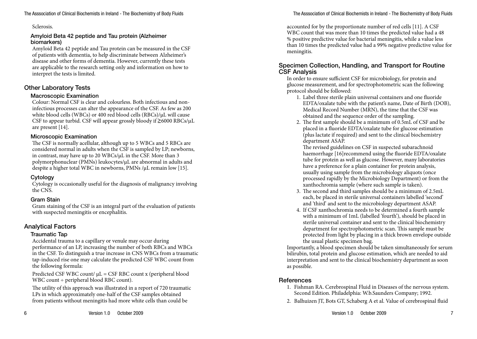Sclerosis.

#### Amyloid Beta 42 peptide and Tau protein (Alzheimer biomarkers)

Amyloid Beta 42 peptide and Tau protein can be measured in the CSF of patients with dementia, to help discriminate between Alzheimer's disease and other forms of dementia. However, currently these tests are applicable to the research setting only and information on how to interpret the tests is limited.

# Other Laboratory Tests

#### Macroscopic Examination

Colour: Normal CSF is clear and colourless. Both infectious and noninfectious processes can alter the appearance of the CSF. As few as 200 white blood cells (WBCs) or 400 red blood cells (RBCs)/μL will cause CSF to appear turbid. CSF will appear grossly bloody if  $\geq 6000$  RBCs/ $\mu$ L are present [14].

#### Microscopic Examination

The CSF is normally acellular, although up to 5 WBCs and 5 RBCs are considered normal in adults when the CSF is sampled by LP; newborns, in contrast, may have up to 20 WBCs/μL in the CSF. More than 3 polymorphonuclear (PMNs) leukocytes/μL are abnormal in adults and despite a higher total WBC in newborns, PMNs /μL remain low [15].

#### Cytology

Cytology is occasionally useful for the diagnosis of malignancy involving the CNS.

#### Gram Stain

Gram staining of the CSF is an integral part of the evaluation of patients with suspected meningitis or encephalitis.

#### Analytical Factors

#### Traumatic Tap

Accidental trauma to a capillary or venule may occur during performance of an LP, increasing the number of both RBCs and WBCs in the CSF. To distinguish a true increase in CNS WBCs from a traumatic tap-induced rise one may calculate the predicted CSF WBC count from the following formula:

Predicted CSF WBC count/ μL = CSF RBC count x (peripheral blood WBC count ÷ peripheral blood RBC count).

The utility of this approach was illustrated in a report of 720 traumatic LPs in which approximately one-half of the CSF samples obtained from patients without meningitis had more white cells than could be

accounted for by the proportionate number of red cells [11]. A CSF WBC count that was more than 10 times the predicted value had a 48 % positive predictive value for bacterial meningitis, while a value less than 10 times the predicted value had a 99% negative predictive value for meningitis.

#### Specimen Collection, Handling, and Transport for Routine CSF Analysis

In order to ensure sufficient CSF for microbiology, for protein and glucose measurement, and for spectrophotometric scan the following protocol should be followed:

- 1. Label three sterile plain universal containers and one fluoride EDTA/oxalate tube with the patient's name, Date of Birth (DOB), Medical Record Number (MRN), the time that the CSF was obtained and the sequence order of the sampling.
- 2. The first sample should be a minimum of 0.5mL of CSF and be placed in a fluoride EDTA/oxalate tube for glucose estimation (plus lactate if required) and sent to the clinical biochemistry department ASAP.

The revised guidelines on CSF in suspected subarachnoid haemorrhage [16] recommend using the fluoride EDTA/oxalate tube for protein as well as glucose. However, many laboratories have a preference for a plain container for protein analysis, usually using sample from the microbiology aliquots (once processed rapidly by the Microbiology Department) or from the xanthochromia sample (where such sample is taken).

- 3. The second and third samples should be a minimum of 2.5mL each, be placed in sterile universal containers labelled 'second' and 'third' and sent to the microbiology department ASAP.
- 4. If CSF xanthochromia needs to be determined a fourth sample with a minimum of 1mL (labelled 'fourth'), should be placed in sterile universal container and sent to the clinical biochemistry department for spectrophotometric scan. This sample must be protected from light by placing in a thick brown envelope outside the usual plastic specimen bag.

Importantly, a blood specimen should be taken simultaneously for serum bilirubin, total protein and glucose estimation, which are needed to aid interpretation and sent to the clinical biochemistry department as soon as possible.

# **References**

- 1. Fishman RA. Cerebrospinal Fluid in Diseases of the nervous system. Second Edition. Philadelphia: W.b.Saunders Company; 1992.
- 2. Balhuizen JT, Bots GT, Schaberg A et al. Value of cerebrospinal fluid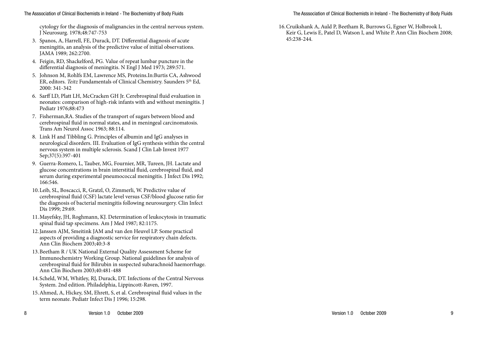cytology for the diagnosis of malignancies in the central nervous system. J Neurosurg. 1978;48:747-753

- 3. Spanos, A, Harrell, FE, Durack, DT. Differential diagnosis of acute meningitis, an analysis of the predictive value of initial observations. JAMA 1989; 262:2700.
- 4. Feigin, RD, Shackelford, PG. Value of repeat lumbar puncture in the differential diagnosis of meningitis. N Engl J Med 1973; 289:571.
- 5. Johnson M, Rohlfs EM, Lawrence MS, Proteins.In:Burtis CA, Ashwood ER, editors. *Teitz* Fundamentals of Clinical Chemistry. Saunders 5th Ed, 2000: 341-342
- 6. Sarff LD, Platt LH, McCracken GH Jr. Cerebrospinal fluid evaluation in neonates: comparison of high-risk infants with and without meningitis. J Pediatr 1976;88:473
- 7. Fisherman,RA. Studies of the transport of sugars between blood and cerebrospinal fluid in normal states, and in meningeal carcinomatosis. Trans Am Neurol Assoc 1963; 88:114.
- 8. Link H and Tibbling G. Principles of albumin and IgG analyses in neurological disorders. III. Evaluation of IgG synthesis within the central nervous system in multiple sclerosis. Scand J Clin Lab Invest 1977 Sep;37(5):397-401
- 9. Guerra-Romero, L, Tauber, MG, Fournier, MR, Tureen, JH. Lactate and glucose concentrations in brain interstitial fluid, cerebrospinal fluid, and serum during experimental pneumococcal meningitis. J Infect Dis 1992; 166:546.
- 10.Leib, SL, Boscacci, R, Gratzl, O, Zimmerli, W. Predictive value of cerebrospinal fluid (CSF) lactate level versus CSF/blood glucose ratio for the diagnosis of bacterial meningitis following neurosurgery. Clin Infect Dis 1999; 29:69.
- 11.Mayefsky, JH, Roghmann, KJ. Determination of leukocytosis in traumatic spinal fluid tap specimens. Am J Med 1987; 82:1175.
- 12.Janssen AJM, Smeitink JAM and van den Heuvel LP. Some practical aspects of providing a diagnostic service for respiratory chain defects. Ann Clin Biochem 2003;40:3-8
- 13.Beetham R / UK National External Quality Assessment Scheme for Immunochemistry Working Group. National guidelines for analysis of cerebrospinal fluid for Bilirubin in suspected subarachnoid haemorrhage. Ann Clin Biochem 2003;40:481-488
- 14.Scheld, WM, Whitley, RJ, Durack, DT. Infections of the Central Nervous System. 2nd edition. Philadelphia, Lippincott-Raven, 1997.
- 15.Ahmed, A, Hickey, SM, Ehrett, S, et al. Cerebrospinal fluid values in the term neonate. Pediatr Infect Dis J 1996; 15:298.

The Asssociation of Clinical Biochemists in Ireland - The Biochemistry of Body Fluids

16.Cruikshank A, Auld P, Beetham R, Burrows G, Egner W, Holbrook I, Keir G, Lewis E, Patel D, Watson I, and White P. Ann Clin Biochem 2008; 45:238-244.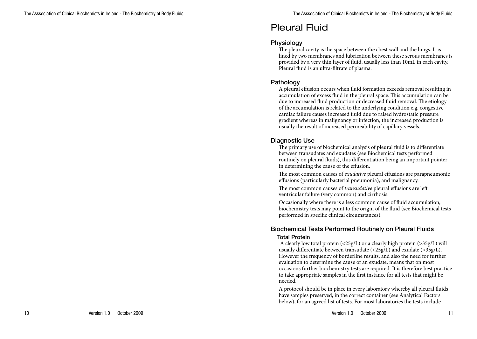# Pleural Fluid

#### **Physiology**

The pleural cavity is the space between the chest wall and the lungs. It is lined by two membranes and lubrication between these serous membranes is provided by a very thin layer of fluid, usually less than 10mL in each cavity. Pleural fluid is an ultra-filtrate of plasma.

### Pathology

A pleural effusion occurs when fluid formation exceeds removal resulting in accumulation of excess fluid in the pleural space. This accumulation can be due to increased fluid production or decreased fluid removal. The etiology of the accumulation is related to the underlying condition e.g. congestive cardiac failure causes increased fluid due to raised hydrostatic pressure gradient whereas in malignancy or infection, the increased production is usually the result of increased permeability of capillary vessels.

#### Diagnostic Use

The primary use of biochemical analysis of pleural fluid is to differentiate between transudates and exudates (see Biochemical tests performed routinely on pleural fluids), this differentiation being an important pointer in determining the cause of the effusion.

The most common causes of *exudative* pleural effusions are parapneumonic effusions (particularly bacterial pneumonia), and malignancy.

The most common causes of *transudative* pleural effusions are left ventricular failure (very common) and cirrhosis.

Occasionally where there is a less common cause of fluid accumulation, biochemistry tests may point to the origin of the fluid (see Biochemical tests performed in specific clinical circumstances).

### Biochemical Tests Performed Routinely on Pleural Fluids Total Protein

A clearly low total protein  $\left( \langle 25g/L \rangle \right)$  or a clearly high protein  $\left( \langle 25g/L \rangle \right)$  will usually differentiate between transudate (<25g/L) and exudate (>35g/L). However the frequency of borderline results, and also the need for further evaluation to determine the cause of an exudate, means that on most occasions further biochemistry tests are required. It is therefore best practice to take appropriate samples in the first instance for all tests that might be needed.

A protocol should be in place in every laboratory whereby all pleural fluids have samples preserved, in the correct container (see Analytical Factors below), for an agreed list of tests. For most laboratories the tests include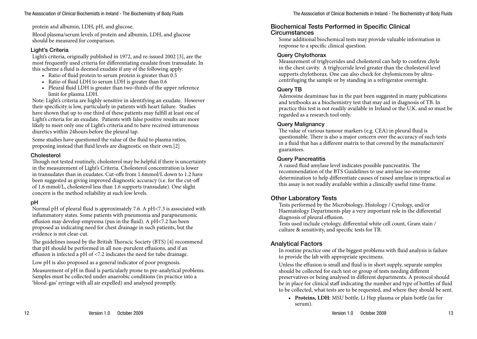protein and albumin, LDH, pH, and glucose.

Blood plasma/serum levels of protein and albumin, LDH, and glucose should be measured for comparison.

#### Light's Criteria

Light's criteria, originally published in 1972, and re-issued 2002 [3], are the most frequently used criteria for differentiating exudate from transudate. In this scheme a fluid is deemed exudate if any of the following apply:

- Ratio of fluid protein to serum protein is greater than 0.5
- Ratio of fluid LDH to serum LDH is greater than 0.6
- Pleural fluid LDH is greater than two-thirds of the upper reference limit for plasma LDH.

Note: Light's criteria are highly sensitive in identifying an exudate. However their specificity is low, particularly in patients with heart failure. Studies have shown that up to one third of these patients may fulfill at least one of Light's criteria for an exudate. Patients with false positive results are more likely to meet only one of Light's criteria and to have received intravenous diuretics within 24hours before the pleural tap.

Some studies have questioned the value of the fluid to plasma ratios, proposing instead that fluid levels are diagnostic on their own.[2]

#### Cholesterol

Though not tested routinely, cholesterol may be helpful if there is uncertainty in the measurement of Light's Criteria. Cholesterol concentration is lower in transudates than in exudates. Cut-offs from 1.6mmol/L down to 1.2 have been suggested as giving improved diagnostic accuracy (i.e. for the cut-off of 1.6 mmol/L, cholesterol less than 1.6 supports transudate). One slight concern is the method reliability at such low levels.

#### pH

Normal pH of pleural fluid is approximately 7.6. A pH<7.3 is associated with inflammatory states. Some patients with pneumonia and parapneumonic effusion may develop empyema (pus in the fluid). A pH<7.2 has been proposed as indicating need for chest drainage in such patients, but the evidence is not clear-cut.

The guidelines issued by the British Thoracic Society (BTS) [4] recommend that pH should be performed in all non-purulent effusions, and if an effusion is infected a pH of <7.2 indicates the need for tube drainage.

Low pH is also proposed as a general indicator of poor prognosis.

Measurement of pH in fluid is particularly prone to pre-analytical problems. Samples must be collected under anaerobic conditions (in practice into a 'blood-gas' syringe with all air expelled) and analysed promptly.

#### Biochemical Tests Performed in Specific Clinical **Circumstances**

Some additional biochemical tests may provide valuable information in response to a specific clinical question.

#### Query Chylothorax

Measurement of triglycerides and cholesterol can help to confirm chyle in the chest cavity. A triglyceride level greater than the cholesterol level supports chylothorax. One can also check for chylomicrons by ultracentrifuging the sample or by standing in a refrigerator overnight.

#### Query TB

Adenosine deaminase has in the past been suggested in many publications and textbooks as a biochemistry test that may aid in diagnosis of TB. In practice this test is not readily available in Ireland or the U.K. and so must be regarded as a research tool only.

#### Query Malignancy

The value of various tumour markers (e.g. CEA) in pleural fluid is questionable. There is also a major concern over the accuracy of such tests in a fluid that has a different matrix to that covered by the manufacturers' guarantees.

#### Query Pancreatitis

A raised fluid amylase level indicates possible pancreatitis. The recommendation of the BTS Guidelines to use amylase iso-enzyme determination to help differentiate causes of raised amylase is impractical as this assay is not readily available within a clinically useful time-frame.

# Other Laboratory Tests

Tests performed by the Microbiology, Histology / Cytology, and/or Haematology Departments play a very important role in the differential diagnosis of pleural effusion.

Tests used include cytology, differential white cell count, Gram stain / culture & sensitivity, and specific tests for TB.

#### Analytical Factors

In routine practice one of the biggest problems with fluid analysis is failure to provide the lab with appropriate specimens.

Unless the effusion is small and fluid is in short supply, separate samples should be collected for each test or group of tests needing different preservatives or being analysed in different departments. A protocol should be in place for clinical staff indicating the number and type of bottles of fluid to be collected, what tests are to be requested, and where they should be sent.

**• Proteins, LDH**: MSU bottle, Li Hep plasma or plain bottle (as for serum).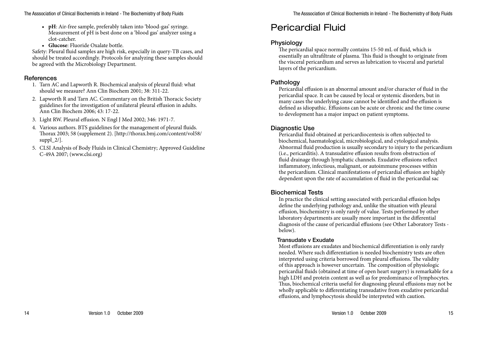- **• pH**: Air-free sample, preferably taken into 'blood-gas' syringe. Measurement of pH is best done on a 'blood gas' analyzer using a clot-catcher.
- **• Glucose**: Fluoride Oxalate bottle.

Safety: Pleural fluid samples are high risk, especially in query-TB cases, and should be treated accordingly. Protocols for analyzing these samples should be agreed with the Microbiology Department.

### References

- 1. Tarn AC and Lapworth R. Biochemical analysis of pleural fluid: what should we measure? Ann Clin Biochem 2001; 38: 311-22.
- 2. Lapworth R and Tarn AC. Commentary on the British Thoracic Society guidelines for the investigation of unilateral pleural effusion in adults. Ann Clin Biochem 2006; 43: 17-22.
- 3. Light RW. Pleural effusion. N Engl J Med 2002; 346: 1971-7.
- 4. Various authors. BTS guidelines for the management of pleural fluids. Thorax 2003; 58 (supplement 2). [http://thorax.bmj.com/content/vol58/ suppl $2/$ ].
- 5. CLSI Analysis of Body Fluids in Clinical Chemistry; Approved Guideline C-49A 2007; (www.clsi.org)

# Pericardial Fluid

# **Physiology**

The pericardial space normally contains 15-50 mL of fluid, which is essentially an ultrafiltrate of plasma. This fluid is thought to originate from the visceral pericardium and serves as lubrication to visceral and parietal layers of the pericardium.

# Pathology

Pericardial effusion is an abnormal amount and/or character of fluid in the pericardial space. It can be caused by local or systemic disorders, but in many cases the underlying cause cannot be identified and the effusion is defined as idiopathic. Effusions can be acute or chronic and the time course to development has a major impact on patient symptoms.

# Diagnostic Use

Pericardial fluid obtained at pericardiocentesis is often subjected to biochemical, haematological, microbiological, and cytological analysis. Abnormal fluid production is usually secondary to injury to the pericardium (i.e., pericarditis). A transudative effusion results from obstruction of fluid drainage through lymphatic channels. Exudative effusions reflect inflammatory, infectious, malignant, or autoimmune processes within the pericardium. Clinical manifestations of pericardial effusion are highly dependent upon the rate of accumulation of fluid in the pericardial sac

# Biochemical Tests

In practice the clinical setting associated with pericardial effusion helps define the underlying pathology and, unlike the situation with pleural effusion, biochemistry is only rarely of value. Tests performed by other laboratory departments are usually more important in the differential diagnosis of the cause of pericardial effusions (see Other Laboratory Tests below).

# Transudate v Exudate

Most effusions are exudates and biochemical differentiation is only rarely needed. Where such differentiation is needed biochemistry tests are often interpreted using criteria borrowed from pleural effusions. The validity of this approach is however uncertain. The composition of physiologic pericardial fluids (obtained at time of open heart surgery) is remarkable for a high LDH and protein content as well as for predominance of lymphocytes. Thus, biochemical criteria useful for diagnosing pleural effusions may not be wholly applicable to differentiating transudative from exudative pericardial effusions, and lymphocytosis should be interpreted with caution.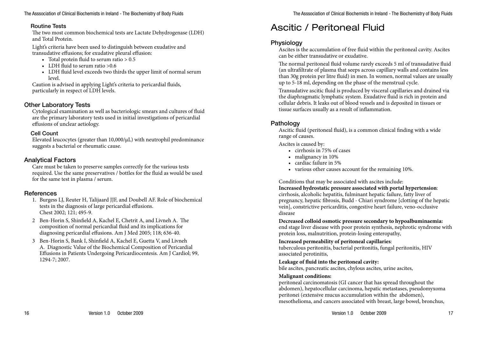#### Routine Tests

The two most common biochemical tests are Lactate Dehydrogenase (LDH) and Total Protein.

Light's criteria have been used to distinguish between exudative and transudative effusions; for exudative pleural effusion:

- Total protein fluid to serum ratio  $> 0.5$
- LDH fluid to serum ratio  $>0.6$
- • LDH fluid level exceeds two thirds the upper limit of normal serum level.

Caution is advised in applying Light's criteria to pericardial fluids, particularly in respect of LDH levels.

# Other Laboratory Tests

Cytological examination as well as bacteriologic smears and cultures of fluid are the primary laboratory tests used in initial investigations of pericardial effusions of unclear aetiology.

#### Cell Count

Elevated leucocytes (greater than  $10,000/\mu$ L) with neutrophil predominance suggests a bacterial or rheumatic cause.

# Analytical Factors

Care must be taken to preserve samples correctly for the various tests required. Use the same preservatives / bottles for the fluid as would be used for the same test in plasma / serum.

# **References**

- 1. Burgess LJ, Reuter H, Talijaard JJF, and Doubell AF. Role of biochemical tests in the diagnosis of large pericardial effusions. Chest 2002; 121; 495-9.
- 2 Ben-Horin S, Shinfield A, Kachel E, Chetrit A, and Livneh A. The composition of normal pericardial fluid and its implications for diagnosing pericardial effusions. Am J Med 2005; 118; 636-40.
- 3 Ben-Horin S, Bank I, Shinfield A, Kachel E, Guetta V, and Livneh A. Diagnostic Value of the Biochemical Composition of Pericardial Effusions in Patients Undergoing Pericardiocentesis. Am J Cardiol; 99, 1294-7; 2007.

# Ascitic / Peritoneal Fluid

# **Physiology**

Ascites is the accumulation of free fluid within the peritoneal cavity. Ascites can be either transudative or exudative.

The normal peritoneal fluid volume rarely exceeds 5 ml of transudative fluid (an ultrafiltrate of plasma that seeps across capillary walls and contains less than 30g protein per litre fluid) in men. In women, normal values are usually up to 5-18 ml, depending on the phase of the menstrual cycle.

Transudative ascitic fluid is produced by visceral capillaries and drained via the diaphragmatic lymphatic system. Exudative fluid is rich in protein and cellular debris. It leaks out of blood vessels and is deposited in tissues or tissue surfaces usually as a result of inflammation.

# **Pathology**

Ascitic fluid (peritoneal fluid), is a common clinical finding with a wide range of causes.

Ascites is caused by:

- • cirrhosis in 75% of cases
- malignancy in 10%
- cardiac failure in 5%
- • various other causes account for the remaining 10%.

Conditions that may be associated with ascites include:

**Increased hydrostatic pressure associated with portal hypertension**: cirrhosis, alcoholic hepatitis, fulminant hepatic failure, fatty liver of pregnancy, hepatic fibrosis, Budd - Chiari syndrome [clotting of the hepatic vein], constrictive pericarditis, congestive heart failure, veno-occlusive disease

**Decreased colloid osmotic pressure secondary to hypoalbuminaemia:**  end stage liver disease with poor protein synthesis, nephrotic syndrome with protein loss, malnutrition, protein-losing enteropathy,

#### **Increased permeability of peritoneal capillaries**:

tuberculous peritonitis, bacterial peritonitis, fungal peritonitis, HIV associated perotinitis,

#### **Leakage of fluid into the peritoneal cavity:**

bile ascites, pancreatic ascites, chylous ascites, urine ascites,

#### **Malignant conditions:**

peritoneal carcinomatosis (GI cancer that has spread throughout the abdomen), hepatocellular carcinoma, hepatic metastases, pseudomyxoma peritonei (extensive mucus accumulation within the abdomen), mesothelioma, and cancers associated with breast, large bowel, bronchus,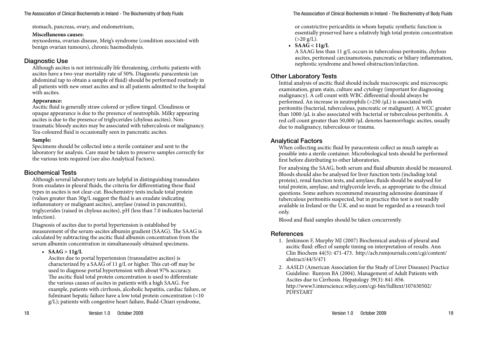stomach, pancreas, ovary, and endometrium,

#### **Miscellaneous causes:**

myxoedema, ovarian disease, Meig's syndrome (condition associated with benign ovarian tumours), chronic haemodialysis.

# Diagnostic Use

Although ascites is not intrinsically life threatening, cirrhotic patients with ascites have a two-year mortality rate of 50%. Diagnostic paracentesis (an abdominal tap to obtain a sample of fluid) should be performed routinely in all patients with new onset ascites and in all patients admitted to the hospital with ascites.

#### **Appearance:**

Ascitic fluid is generally straw colored or yellow tinged. Cloudiness or opaque appearance is due to the presence of neutrophils. Milky appearing ascites is due to the presence of triglycerides (chylous ascites). Nontraumatic bloody ascites may be associated with tuberculosis or malignancy. Tea-coloured fluid is occasionally seen in pancreatic ascites.

# **Sample:**

Specimens should be collected into a sterile container and sent to the laboratory for analysis. Care must be taken to preserve samples correctly for the various tests required (see also Analytical Factors).

# Biochemical Tests

Although several laboratory tests are helpful in distinguishing transudates from exudates in pleural fluids, the criteria for differentiating these fluid types in ascites is not clear-cut. Biochemistry tests include total protein (values greater than 30g/L suggest the fluid is an exudate indicating inflammatory or malignant ascites), amylase (raised in pancreatitis), triglycerides (raised in chylous ascites), pH (less than 7.0 indicates bacterial infection).

Diagnosis of ascites due to portal hypertension is established by measurement of the serum-ascites albumin gradient (SAAG). The SAAG is calculated by subtracting the ascitic fluid albumin concentration from the serum albumin concentration in simultaneously obtained specimens.

•  $SAAG > 11g/L$ 

Ascites due to portal hypertension (transudative ascites) is characterized by a SAAG of 11 g/L or higher. This cut-off may be used to diagnose portal hypertension with about 97% accuracy. The ascitic fluid total protein concentration is used to differentiate the various causes of ascites in patients with a high SAAG. For example, patients with cirrhosis, alcoholic hepatitis, cardiac failure, or fulminant hepatic failure have a low total protein concentration (<10 g/L); patients with congestive heart failure, Budd-Chiari syndrome,

or constrictive pericarditis in whom hepatic synthetic function is essentially preserved have a relatively high total protein concentration  $(>20 \text{ g/L}).$ 

•  $SAA\bar{G}$  <  $11g/L$ 

A SAAG less than 11 g/L occurs in tuberculous peritonitis, chylous ascites, peritoneal carcinamotosis, pancreatic or biliary inflammation, nephrotic syndrome and bowel obstruction/infarction.

# Other Laboratory Tests

Initial analysis of ascitic fluid should include macroscopic and microscopic examination, gram stain, culture and cytology (important for diagnosing malignancy). A cell count with WBC differential should always be performed. An increase in neutrophils  $(>250/\mu L)$  is associated with peritonitis (bacterial, tuberculous, pancreatic or malignant). A WCC greater than 1000 /µL is also associated with bacterial or tuberculous peritonitis. A red cell count greater than 50,000 /µL denotes haemorrhagic ascites, usually due to malignancy, tuberculous or trauma.

# Analytical Factors

When collecting ascitic fluid by paracentesis collect as much sample as possible into a sterile container. Microbiological tests should be performed first before distributing to other laboratories.

For analysing the SAAG, both serum and fluid albumin should be measured. Bloods should also be analysed for liver function tests (including total protein), renal function tests, and amylase; fluids should be analysed for total protein, amylase, and triglyceride levels, as appropriate to the clinical questions. Some authors recommend measuring adenosine deaminase if tuberculous peritonitis suspected, but in practice this test is not readily available in Ireland or the U.K. and so must be regarded as a research tool only.

Blood and fluid samples should be taken concurrently.

# **References**

- 1. Jenkinson F, Murphy MJ (2007) Biochemical analysis of pleural and ascitic fluid: effect of sample timing on interpretation of results. Ann Clin Biochem 44(5): 471-473. http://acb.rsmjournals.com/cgi/content/ abstract/44/5/471
- 2. AASLD (American Association for the Study of Liver Diseases) Practice Guideline: Runyon BA (2004). Management of Adult Patients with Ascites due to Cirrhosis. Hepatology 39(3): 841-856. http://www3.interscience.wiley.com/cgi-bin/fulltext/107630502/ PDFSTART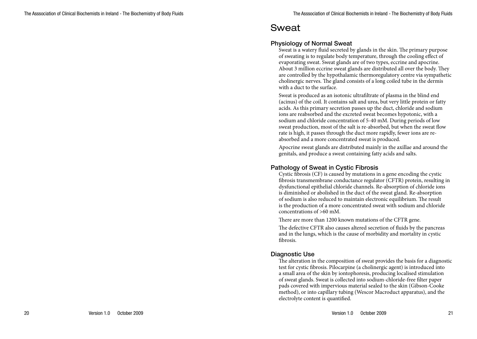# Sweat

# Physiology of Normal Sweat

Sweat is a watery fluid secreted by glands in the skin. The primary purpose of sweating is to regulate body temperature, through the cooling effect of evaporating sweat. Sweat glands are of two types, eccrine and apocrine. About 3 million eccrine sweat glands are distributed all over the body. They are controlled by the hypothalamic thermoregulatory centre via sympathetic cholinergic nerves. The gland consists of a long coiled tube in the dermis with a duct to the surface.

Sweat is produced as an isotonic ultrafiltrate of plasma in the blind end (acinus) of the coil. It contains salt and urea, but very little protein or fatty acids. As this primary secretion passes up the duct, chloride and sodium ions are reabsorbed and the excreted sweat becomes hypotonic, with a sodium and chloride concentration of 5-40 mM. During periods of low sweat production, most of the salt is re-absorbed, but when the sweat flow rate is high, it passes through the duct more rapidly, fewer ions are reabsorbed and a more concentrated sweat is produced.

Apocrine sweat glands are distributed mainly in the axillae and around the genitals, and produce a sweat containing fatty acids and salts.

### Pathology of Sweat in Cystic Fibrosis

Cystic fibrosis (CF) is caused by mutations in a gene encoding the cystic fibrosis transmembrane conductance regulator (CFTR) protein, resulting in dysfunctional epithelial chloride channels. Re-absorption of chloride ions is diminished or abolished in the duct of the sweat gland. Re-absorption of sodium is also reduced to maintain electronic equilibrium. The result is the production of a more concentrated sweat with sodium and chloride concentrations of >60 mM.

There are more than 1200 known mutations of the CFTR gene.

The defective CFTR also causes altered secretion of fluids by the pancreas and in the lungs, which is the cause of morbidity and mortality in cystic fibrosis.

#### Diagnostic Use

The alteration in the composition of sweat provides the basis for a diagnostic test for cystic fibrosis. Pilocarpine (a cholinergic agent) is introduced into a small area of the skin by iontophoresis, producing localised stimulation of sweat glands. Sweat is collected into sodium-chloride-free filter paper pads covered with impervious material sealed to the skin (Gibson-Cooke method), or into capillary tubing (Wescor Macroduct apparatus), and the electrolyte content is quantified.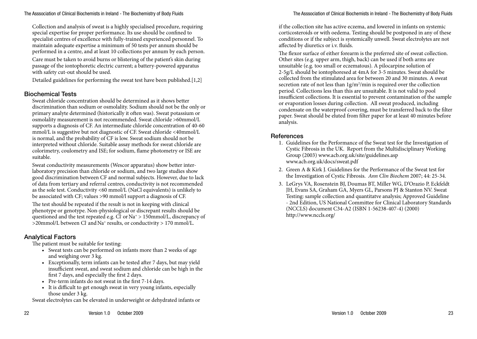Collection and analysis of sweat is a highly specialised procedure, requiring special expertise for proper performance. Its use should be confined to specialist centres of excellence with fully-trained experienced personnel. To maintain adequate expertise a minimum of 50 tests per annum should be performed in a centre, and at least 10 collections per annum by each person.

Care must be taken to avoid burns or blistering of the patient's skin during passage of the iontophoretic electric current; a battery-powered apparatus with safety cut-out should be used.

Detailed guidelines for performing the sweat test have been published.[1,2]

#### Biochemical Tests

Sweat chloride concentration should be determined as it shows better discrimination than sodium or osmolality. Sodium should not be the only or primary analyte determined (historically it often was). Sweat potassium or osmolality measurement is not recommended. Sweat chloride >60mmol/L supports a diagnosis of CF. An intermediate chloride concentration of 40-60 mmol/L is suggestive but not diagnostic of CF. Sweat chloride <40mmol/L is normal, and the probability of CF is low. Sweat sodium should not be interpreted without chloride. Suitable assay methods for sweat chloride are colorimetry, coulometry and ISE; for sodium, flame photometry or ISE are suitable.

Sweat conductivity measurements (Wescor apparatus) show better interlaboratory precision than chloride or sodium, and two large studies show good discrimination between CF and normal subjects. However, due to lack of data from tertiary and referral centres, conductivity is not recommended as the sole test. Conductivity <60 mmol/L (NaCl equivalents) is unlikely to be associated with CF; values >90 mmol/l support a diagnosis of CF.

The test should be repeated if the result is not in keeping with clinical phenotype or genotype. Non-physiological or discrepant results should be questioned and the test repeated e.g. Cl or  $Na<sup>+</sup> > 150$ mmol/L, discrepancy of  $>$ 20mmol/L between Cl and Na<sup>+</sup> results, or conductivity > 170 mmol/L.

#### Analytical Factors

The patient must be suitable for testing:

- Sweat tests can be performed on infants more than 2 weeks of age and weighing over 3 kg.
- Exceptionally, term infants can be tested after 7 days, but may yield insufficient sweat, and sweat sodium and chloride can be high in the first 7 days, and especially the first 2 days.
- Pre-term infants do not sweat in the first 7-14 days.
- It is difficult to get enough sweat in very young infants, especially those under 3 kg.

Sweat electrolytes can be elevated in underweight or dehydrated infants or

if the collection site has active eczema, and lowered in infants on systemic corticosteroids or with oedema. Testing should be postponed in any of these conditions or if the subject is systemically unwell. Sweat electrolytes are not affected by diuretics or i.v. fluids.

The flexor surface of either forearm is the preferred site of sweat collection. Other sites (e.g. upper arm, thigh, back) can be used if both arms are unsuitable (e.g. too small or eczematous). A pilocarpine solution of 2-5g/L should be iontophoresed at 4mA for 3-5 minutes. Sweat should be collected from the stimulated area for between 20 and 30 minutes. A sweat secretion rate of not less than  $1g/m^2/min$  is required over the collection period. Collections less than this are unsuitable. It is not valid to pool insufficient collections. It is essential to prevent contamination of the sample or evaporation losses during collection. All sweat produced, including condensate on the waterproof covering, must be transferred back to the filter paper. Sweat should be eluted from filter paper for at least 40 minutes before analysis.

#### **References**

- 1. Guidelines for the Performance of the Sweat test for the Investigation of Cystic Fibrosis in the UK. Report from the Multidisciplinary Working Group (2003) www.acb.org.uk/site/guidelines.asp www.acb.org.uk/docs/sweat.pdf
- 2. Green A & Kirk J. Guidelines for the Performance of the Sweat test for the Investigation of Cystic Fibrosis. *Ann Clin Biochem* 2007; 44: 25-34.
- 3. LeGrys VA, Rosenstein BJ, Doumas BT, Miller WG, D'Orazio P, Eckfeldt JH, Evans SA, Graham GA, Myers GL, Parsons PJ & Stanton NV. Sweat Testing: sample collection and quantitatve analysis; Approved Guideline - 2nd Edition, US National Committee for Clinical Laboratory Standards (NCCLS) document C34-A2 (ISBN 1-56238-407-4) (2000) http://www.nccls.org/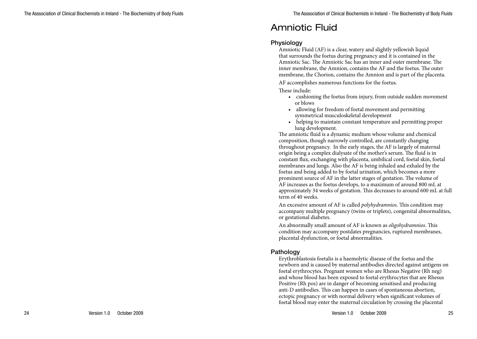# Amniotic Fluid

#### **Physiology**

Amniotic Fluid (AF) is a clear, watery and slightly yellowish liquid that surrounds the foetus during pregnancy and it is contained in the Amniotic Sac. The Amniotic Sac has an inner and outer membrane. The inner membrane, the Amnion, contains the AF and the foetus. The outer membrane, the Chorion, contains the Amnion and is part of the placenta.

AF accomplishes numerous functions for the foetus.

#### These include:

- cushioning the foetus from injury, from outside sudden movement or blows
- • allowing for freedom of foetal movement and permitting symmetrical musculoskeletal development
- helping to maintain constant temperature and permitting proper lung development.

The amniotic fluid is a dynamic medium whose volume and chemical composition, though narrowly controlled, are constantly changing throughout pregnancy. In the early stages, the AF is largely of maternal origin being a complex dialysate of the mother's serum. The fluid is in constant flux, exchanging with placenta, umbilical cord, foetal skin, foetal membranes and lungs. Also the AF is being inhaled and exhaled by the foetus and being added to by foetal urination, which becomes a more prominent source of AF in the latter stages of gestation. The volume of AF increases as the foetus develops, to a maximum of around 800 mL at approximately 34 weeks of gestation. This decreases to around 600 mL at full term of 40 weeks.

An excessive amount of AF is called *polyhydramnios*. This condition may accompany multiple pregnancy (twins or triplets), congenital abnormalities, or gestational diabetes.

An abnormally small amount of AF is known as *oligohydramnios*. This condition may accompany postdates pregnancies, ruptured membranes, placental dysfunction, or foetal abnormalities.

# Pathology

Erythroblastosis foetalis is a haemolytic disease of the foetus and the newborn and is caused by maternal antibodies directed against antigens on foetal erythrocytes. Pregnant women who are Rhesus Negative (Rh neg) and whose blood has been exposed to foetal erythrocytes that are Rhesus Positive (Rh pos) are in danger of becoming sensitised and producing anti-D antibodies. This can happen in cases of spontaneous abortion, ectopic pregnancy or with normal delivery when significant volumes of foetal blood may enter the maternal circulation by crossing the placental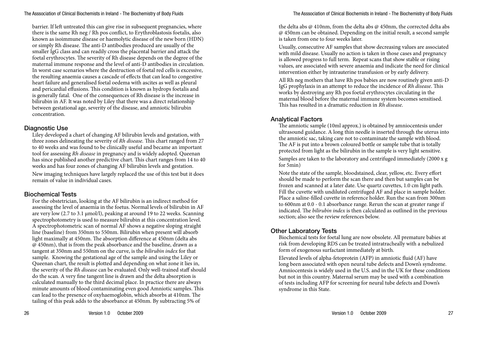barrier. If left untreated this can give rise in subsequent pregnancies, where there is the same Rh neg / Rh pos conflict, to Erythroblastosis foetalis, also known as isoimmune disease or haemolytic disease of the new born (HDN) or simply Rh disease. The anti-D antibodies produced are usually of the smaller IgG class and can readily cross the placental barrier and attack the foetal erythrocytes. The severity of Rh disease depends on the degree of the maternal immune response and the level of anti-D antibodies in circulation. In worst case scenarios where the destruction of foetal red cells is excessive, the resulting anaemia causes a cascade of effects that can lead to congestive heart failure and generalised foetal oedema with ascites as well as pleural and pericardial effusions. This condition is known as hydrops foetalis and is generally fatal. One of the consequences of Rh disease is the increase in bilirubin in AF. It was noted by Liley that there was a direct relationship between gestational age, severity of the disease, and amniotic bilirubin concentration.

#### Diagnostic Use

Liley developed a chart of changing AF bilirubin levels and gestation, with three zones delineating the severity of *Rh disease.* This chart ranged from 27 to 40 weeks and was found to be clinically useful and became an important tool for assessing *Rh disease* in pregnancy and is widely adopted. Queenan has since published another predictive chart. This chart ranges from 14 to 40 weeks and has four zones of changing AF bilirubin levels and gestation.

New imaging techniques have largely replaced the use of this test but it does remain of value in individual cases.

# Biochemical Tests

For the obstetrician, looking at the AF bilirubin is an indirect method for assessing the level of anaemia in the foetus. Normal levels of bilirubin in AF are very low (2.7 to 3.1 µmol/l), peaking at around 19 to 22 weeks. Scanning spectrophotometry is used to measure bilirubin at this concentration level. A spectrophotometric scan of normal AF shows a negative sloping straight line (baseline) from 350nm to 550nm. Bilirubin when present will absorb light maximally at 450nm. The absorption difference at 450nm (delta abs @ 450nm), that is from the peak absorbance and the baseline, drawn as a tangent at 350nm and 550nm on the curve, is the *bilirubin index* for that sample. Knowing the gestational age of the sample and using the Liley or Queenan chart, the result is plotted and depending on what zone it lies in, the severity of the *Rh disease* can be evaluated. Only well-trained staff should do the scan. A very fine tangent line is drawn and the delta absorption is calculated manually to the third decimal place. In practice there are always minute amounts of blood contaminating even good Amniotic samples. This can lead to the presence of oxyhaemoglobin, which absorbs at 410nm. The tailing of this peak adds to the absorbance at 450nm. By subtracting 5% of

the delta abs @ 410nm, from the delta abs @ 450nm, the corrected delta abs @ 450nm can be obtained. Depending on the initial result, a second sample is taken from one to four weeks later.

Usually, consecutive AF samples that show decreasing values are associated with mild disease. Usually no action is taken in those cases and pregnancy is allowed progress to full term. Repeat scans that show stable or rising values, are associated with severe anaemia and indicate the need for clinical intervention either by intrauterine transfusion or by early delivery.

All Rh neg mothers that have Rh pos babies are now routinely given anti-D IgG prophylaxis in an attempt to reduce the incidence of *Rh disease*. This works by destroying any Rh pos foetal erythrocytes circulating in the maternal blood before the maternal immune system becomes sensitised. This has resulted in a dramatic reduction in *Rh disease*.

# Analytical Factors

The amniotic sample (10ml approx.) is obtained by amniocentesis under ultrasound guidance. A long thin needle is inserted through the uterus into the amniotic sac, taking care not to contaminate the sample with blood. The AF is put into a brown coloured bottle or sample tube that is totally protected from light as the bilirubin in the sample is very light sensitive. Samples are taken to the laboratory and centrifuged immediately (2000 x g for 5min)

Note the state of the sample, bloodstained, clear, yellow, etc. Every effort should be made to perform the scan there and then but samples can be frozen and scanned at a later date. Use quartz cuvettes, 1.0 cm light path. Fill the cuvette with undiluted centrifuged AF and place in sample holder. Place a saline-filled cuvette in reference holder. Run the scan from 300nm to 600nm at 0.0 - 0.1 absorbance range. Rerun the scan at greater range if indicated. The *bilirubin index* is then calculated as outlined in the previous section; also see the review references below.

# Other Laboratory Tests

Biochemical tests for foetal lung are now obsolete. All premature babies at risk from developing RDS can be treated intratracheally with a nebulized form of exogenous surfactant immediately at birth.

Elevated levels of alpha-fetoprotein (AFP) in amniotic fluid (AF) have long been associated with open neural tube defects and Down's syndrome. Amniocentesis is widely used in the U.S. and in the UK for these conditions but not in this country. Maternal serum may be used with a combination of tests including AFP for screening for neural tube defects and Down's syndrome in this State.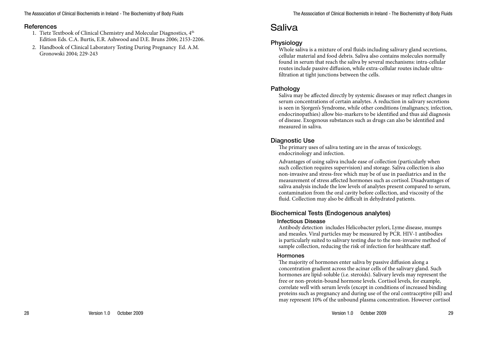#### **References**

- 1. Tietz Textbook of Clinical Chemistry and Molecular Diagnostics, 4<sup>th</sup> Edition Eds. C.A. Burtis, E.R. Ashwood and D.E. Bruns 2006; 2153-2206.
- 2. Handbook of Clinical Laboratory Testing During Pregnancy Ed. A.M. Gronowski 2004; 229-243

# Saliva

# Physiology

Whole saliva is a mixture of oral fluids including salivary gland secretions, cellular material and food debris. Saliva also contains molecules normally found in serum that reach the saliva by several mechanisms: intra-cellular routes include passive diffusion, while extra-cellular routes include ultrafiltration at tight junctions between the cells.

# **Pathology**

Saliva may be affected directly by systemic diseases or may reflect changes in serum concentrations of certain analytes. A reduction in salivary secretions is seen in Sjorgen's Syndrome, while other conditions (malignancy, infection, endocrinopathies) allow bio-markers to be identified and thus aid diagnosis of disease. Exogenous substances such as drugs can also be identified and measured in saliva.

### Diagnostic Use

The primary uses of saliva testing are in the areas of toxicology, endocrinology and infection.

Advantages of using saliva include ease of collection (particularly when such collection requires supervision) and storage. Saliva collection is also non-invasive and stress-free which may be of use in paediatrics and in the measurement of stress affected hormones such as cortisol. Disadvantages of saliva analysis include the low levels of analytes present compared to serum, contamination from the oral cavity before collection, and viscosity of the fluid. Collection may also be difficult in dehydrated patients.

# Biochemical Tests (Endogenous analytes)

#### Infectious Disease

Antibody detection includes Helicobacter pylori, Lyme disease, mumps and measles. Viral particles may be measured by PCR. HIV-1 antibodies is particularly suited to salivary testing due to the non-invasive method of sample collection, reducing the risk of infection for healthcare staff.

#### Hormones

The majority of hormones enter saliva by passive diffusion along a concentration gradient across the acinar cells of the salivary gland. Such hormones are lipid-soluble (i.e. steroids). Salivary levels may represent the free or non-protein-bound hormone levels. Cortisol levels, for example, correlate well with serum levels (except in conditions of increased binding proteins such as pregnancy and during use of the oral contraceptive pill) and may represent 10% of the unbound plasma concentration. However cortisol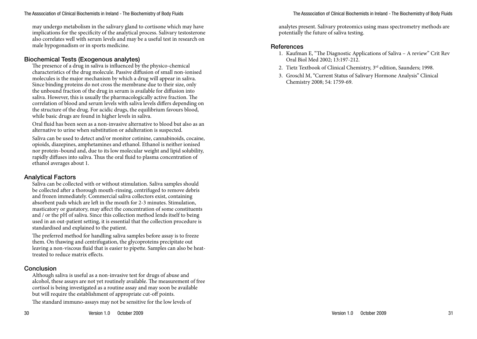#### The Asssociation of Clinical Biochemists in Ireland - The Biochemistry of Body Fluids

may undergo metabolism in the salivary gland to cortisone which may have implications for the specificity of the analytical process. Salivary testosterone also correlates well with serum levels and may be a useful test in research on male hypogonadism or in sports medicine.

# Biochemical Tests (Exogenous analytes)

The presence of a drug in saliva is influenced by the physico-chemical characteristics of the drug molecule. Passive diffusion of small non-ionised molecules is the major mechanism by which a drug will appear in saliva. Since binding proteins do not cross the membrane due to their size, only the unbound fraction of the drug in serum is available for diffusion into saliva. However, this is usually the pharmacologically active fraction. The correlation of blood and serum levels with saliva levels differs depending on the structure of the drug. For acidic drugs, the equilibrium favours blood, while basic drugs are found in higher levels in saliva.

Oral fluid has been seen as a non-invasive alternative to blood but also as an alternative to urine when substitution or adulteration is suspected.

Saliva can be used to detect and/or monitor cotinine, cannabinoids, cocaine, opioids, diazepines, amphetamines and ethanol. Ethanol is neither ionised nor protein–bound and, due to its low molecular weight and lipid solubility, rapidly diffuses into saliva. Thus the oral fluid to plasma concentration of ethanol averages about 1.

# Analytical Factors

Saliva can be collected with or without stimulation. Saliva samples should be collected after a thorough mouth-rinsing, centrifuged to remove debris and frozen immediately. Commercial saliva collectors exist, containing absorbent pads which are left in the mouth for 2-3 minutes. Stimulation, masticatory or gustatory, may affect the concentration of some constituents and / or the pH of saliva. Since this collection method lends itself to being used in an out-patient setting, it is essential that the collection procedure is standardised and explained to the patient.

The preferred method for handling saliva samples before assay is to freeze them. On thawing and centrifugation, the glycoproteins precipitate out leaving a non-viscous fluid that is easier to pipette. Samples can also be heattreated to reduce matrix effects.

# **Conclusion**

Although saliva is useful as a non-invasive test for drugs of abuse and alcohol, these assays are not yet routinely available. The measurement of free cortisol is being investigated as a routine assay and may soon be available but will require the establishment of appropriate cut-off points.

The standard immuno-assays may not be sensitive for the low levels of

analytes present. Salivary proteomics using mass spectrometry methods are potentially the future of saliva testing.

#### **References**

- 1. Kaufman E, "The Diagnostic Applications of Saliva A review" Crit Rev Oral Biol Med 2002; 13:197-212.
- 2. Tietz Textbook of Clinical Chemistry, 3<sup>rd</sup> edition, Saunders; 1998.
- 3. Groschl M, "Current Status of Salivary Hormone Analysis" Clinical Chemistry 2008; 54: 1759-69.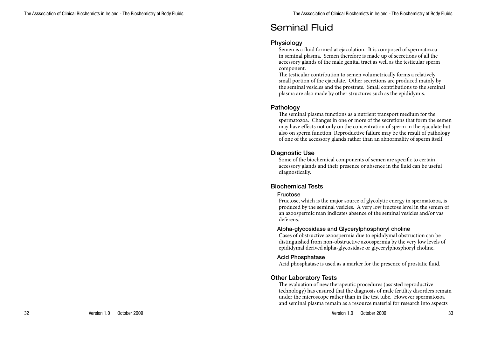# Seminal Fluid

#### **Physiology**

Semen is a fluid formed at ejaculation. It is composed of spermatozoa in seminal plasma. Semen therefore is made up of secretions of all the accessory glands of the male genital tract as well as the testicular sperm component.

The testicular contribution to semen volumetrically forms a relatively small portion of the ejaculate. Other secretions are produced mainly by the seminal vesicles and the prostrate. Small contributions to the seminal plasma are also made by other structures such as the epididymis.

# Pathology

The seminal plasma functions as a nutrient transport medium for the spermatozoa. Changes in one or more of the secretions that form the semen may have effects not only on the concentration of sperm in the ejaculate but also on sperm function. Reproductive failure may be the result of pathology of one of the accessory glands rather than an abnormality of sperm itself.

### Diagnostic Use

Some of the biochemical components of semen are specific to certain accessory glands and their presence or absence in the fluid can be useful diagnostically.

# Biochemical Tests

#### Fructose

Fructose, which is the major source of glycolytic energy in spermatozoa, is produced by the seminal vesicles. A very low fructose level in the semen of an azoospermic man indicates absence of the seminal vesicles and/or vas deferens.

#### Alpha-glycosidase and Glycerylphosphoryl choline

Cases of obstructive azoospermia due to epididymal obstruction can be distinguished from non-obstructive azoospermia by the very low levels of epididymal derived alpha-glycosidase or glycerylphosphoryl choline.

#### Acid Phosphatase

Acid phosphatase is used as a marker for the presence of prostatic fluid.

# Other Laboratory Tests

The evaluation of new therapeutic procedures (assisted reproductive technology) has ensured that the diagnosis of male fertility disorders remain under the microscope rather than in the test tube. However spermatozoa and seminal plasma remain as a resource material for research into aspects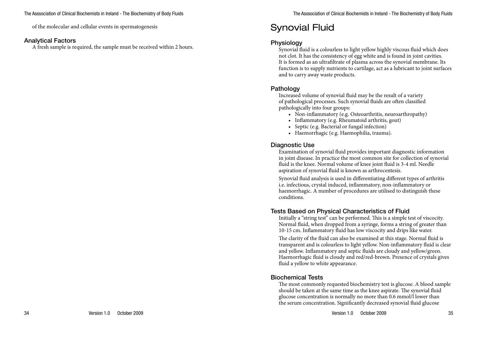of the molecular and cellular events in spermatogenesis

#### Analytical Factors

A fresh sample is required, the sample must be received within 2 hours.

# Synovial Fluid

# Physiology

Synovial fluid is a colourless to light yellow highly viscous fluid which does not clot. It has the consistency of egg white and is found in joint cavities. It is formed as an ultrafiltrate of plasma across the synovial membrane. Its function is to supply nutrients to cartilage, act as a lubricant to joint surfaces and to carry away waste products.

### **Pathology**

Increased volume of synovial fluid may be the result of a variety of pathological processes. Such synovial fluids are often classified pathologically into four groups:

- Non-inflammatory (e.g. Osteoarthritis, neuroarthropathy)
- Inflammatory (e.g. Rheumatoid arthritis, gout)
- • Septic (e.g. Bacterial or fungal infection)
- • Haemorrhagic (e.g. Haemophilia, trauma).

#### Diagnostic Use

Examination of synovial fluid provides important diagnostic information in joint disease. In practice the most common site for collection of synovial fluid is the knee. Normal volume of knee joint fluid is 3-4 ml. Needle aspiration of synovial fluid is known as arthrocentesis.

Synovial fluid analysis is used in differentiating different types of arthritis i.e. infectious, crystal induced, inflammatory, non-inflammatory or haemorrhagic. A number of procedures are utilised to distinguish these conditions.

# Tests Based on Physical Characteristics of Fluid

Initially a "string test" can be performed. This is a simple test of viscocity. Normal fluid, when dropped from a syringe, forms a string of greater than 10-15 cm. Inflammatory fluid has low viscocity and drips like water.

The clarity of the fluid can also be examined at this stage. Normal fluid is transparent and is colourless to light yellow. Non-inflammatory fluid is clear and yellow. Inflammatory and septic fluids are cloudy and yellow/green. Haemorrhagic fluid is cloudy and red/red-brown. Presence of crystals gives fluid a yellow to white appearance.

# Biochemical Tests

The most commonly requested biochemistry test is glucose. A blood sample should be taken at the same time as the knee aspirate. The synovial fluid glucose concentration is normally no more than 0.6 mmol/l lower than the serum concentration. Significantly decreased synovial fluid glucose